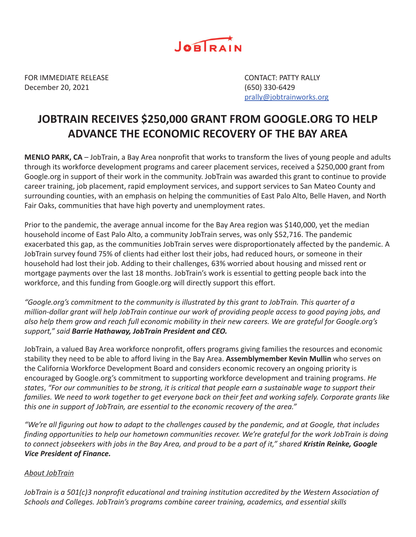

FOR IMMEDIATE RELEASE CONTACT: PATTY RALLY December 20, 2021 (650) 330-6429

prally@jobtrainworks.org

## **JOBTRAIN RECEIVES \$250,000 GRANT FROM GOOGLE.ORG TO HELP ADVANCE THE ECONOMIC RECOVERY OF THE BAY AREA**

**MENLO PARK, CA** – JobTrain, a Bay Area nonprofit that works to transform the lives of young people and adults through its workforce development programs and career placement services, received a \$250,000 grant from Google.org in support of their work in the community. JobTrain was awarded this grant to continue to provide career training, job placement, rapid employment services, and support services to San Mateo County and surrounding counties, with an emphasis on helping the communities of East Palo Alto, Belle Haven, and North Fair Oaks, communities that have high poverty and unemployment rates.

Prior to the pandemic, the average annual income for the Bay Area region was \$140,000, yet the median household income of East Palo Alto, a community JobTrain serves, was only \$52,716. The pandemic exacerbated this gap, as the communities JobTrain serves were disproportionately affected by the pandemic. A JobTrain survey found 75% of clients had either lost their jobs, had reduced hours, or someone in their household had lost their job. Adding to their challenges, 63% worried about housing and missed rent or mortgage payments over the last 18 months. JobTrain's work is essential to getting people back into the workforce, and this funding from Google.org will directly support this effort.

*"Google.org's commitment to the community is illustrated by this grant to JobTrain. This quarter of a million-dollar grant will help JobTrain continue our work of providing people access to good paying jobs, and also help them grow and reach full economic mobility in their new careers. We are grateful for Google.org's support," said Barrie Hathaway, JobTrain President and CEO.*

JobTrain, a valued Bay Area workforce nonprofit, offers programs giving families the resources and economic stability they need to be able to afford living in the Bay Area. **Assemblymember Kevin Mullin** who serves on the California Workforce Development Board and considers economic recovery an ongoing priority is encouraged by Google.org's commitment to supporting workforce development and training programs. *He states*, *"For our communities to be strong, it is critical that people earn a sustainable wage to support their families. We need to work together to get everyone back on their feet and working safely. Corporate grants like this one in support of JobTrain, are essential to the economic recovery of the area."*

*"We're all figuring out how to adapt to the challenges caused by the pandemic, and at Google, that includes finding opportunities to help our hometown communities recover. We're grateful for the work JobTrain is doing to connect jobseekers with jobs in the Bay Area, and proud to be a part of it," shared Kristin Reinke, Google Vice President of Finance.*

## *About JobTrain*

*JobTrain is a 501(c)3 nonprofit educational and training institution accredited by the Western Association of Schools and Colleges. JobTrain's programs combine career training, academics, and essential skills*